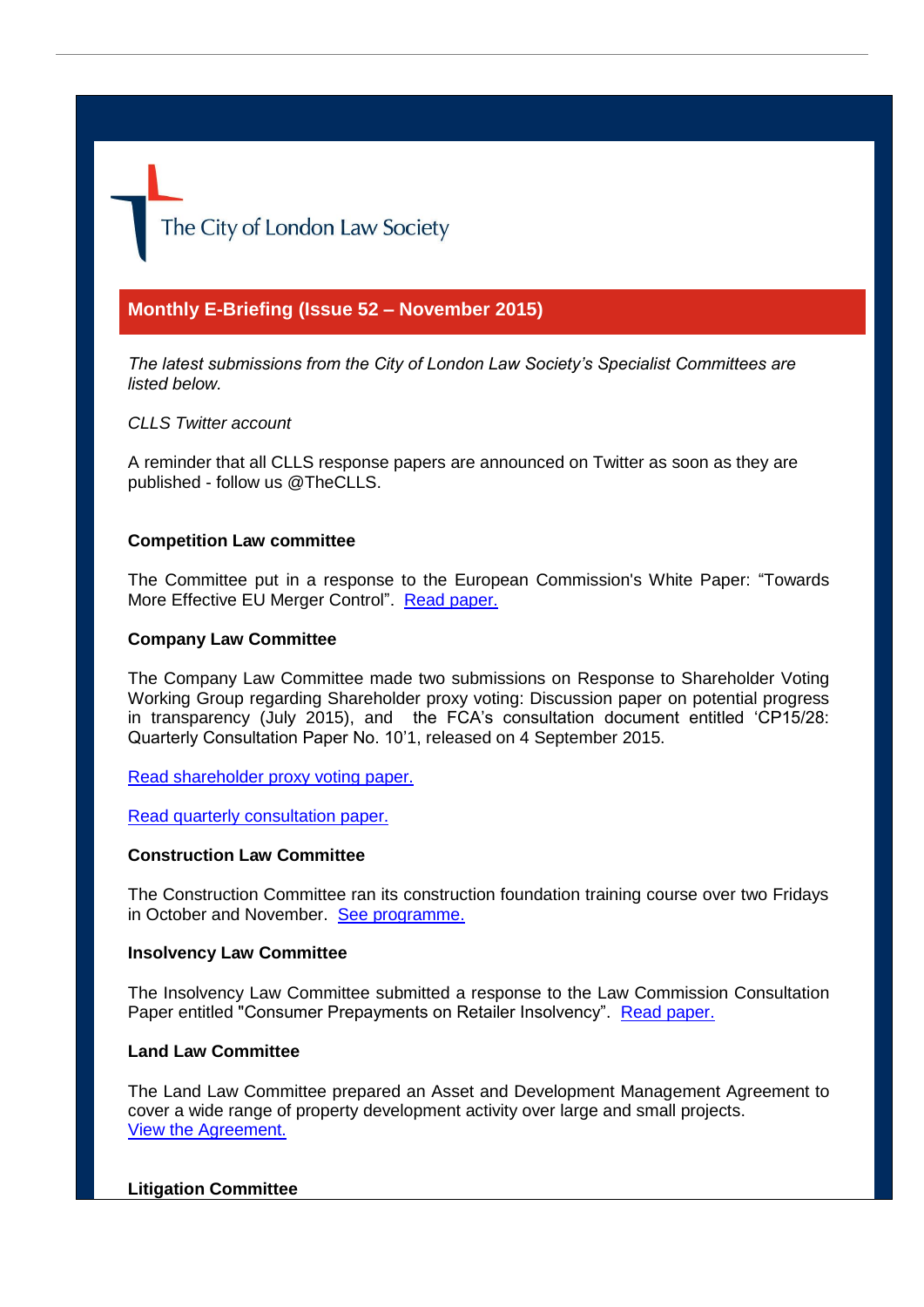The City of London Law Society

# **Monthly E-Briefing (Issue 52 – November 2015)**

*The latest submissions from the City of London Law Society's Specialist Committees are listed below.*

*CLLS Twitter account*

A reminder that all CLLS response papers are announced on Twitter as soon as they are published - follow us @TheCLLS.

# **Competition Law committee**

The Committee put in a response to the European Commission's White Paper: "Towards More Effective EU Merger Control". [Read paper.](http://www.citysolicitors.org.uk/attachments/category/108/20141020%20Response%20to%20European%20Commission%20white%20paper%20)

# **Company Law Committee**

The Company Law Committee made two submissions on Response to Shareholder Voting Working Group regarding Shareholder proxy voting: Discussion paper on potential progress in transparency (July 2015), and the FCA's consultation document entitled 'CP15/28: Quarterly Consultation Paper No. 10'1, released on 4 September 2015.

[Read shareholder proxy voting paper.](http://www.citysolicitors.org.uk/attachments/category/114/CLLS%20Company%20Law%20Committee%20response%20-%20Shareholder%20proxy%20voting.pdf)

[Read quarterly consultation paper.](http://www.citysolicitors.org.uk/attachments/category/114/TLS_CLLS_Response%20FCA%20CP15-28_5%20November%202015.pdf)

### **Construction Law Committee**

The Construction Committee ran its construction foundation training course over two Fridays in October and November. [See programme.](http://www.citysolicitors.org.uk/attachments/category/117/3459519v2-CLLS%20-%20Foundation%20Training%202013-LWDLIB01.pdf)

#### **Insolvency Law Committee**

The Insolvency Law Committee submitted a response to the Law Commission Consultation Paper entitled "Consumer Prepayments on Retailer Insolvency". [Read paper.](http://www.citysolicitors.org.uk/attachments/article/119/CLLS%20Consultation%20Response%20-Law%20Commission%20Consultation%20on%20Retail%20Insolvency%20-%2017%2009%2015.pdf) 

# **Land Law Committee**

The Land Law Committee prepared an Asset and Development Management Agreement to cover a wide range of property development activity over large and small projects. [View the Agreement.](http://www.citysolicitors.org.uk/attachments/article/114/CLLS%20Land%20Law%20Asset%20and%20Development%20management%20agreement.pdf)

#### **Litigation Committee**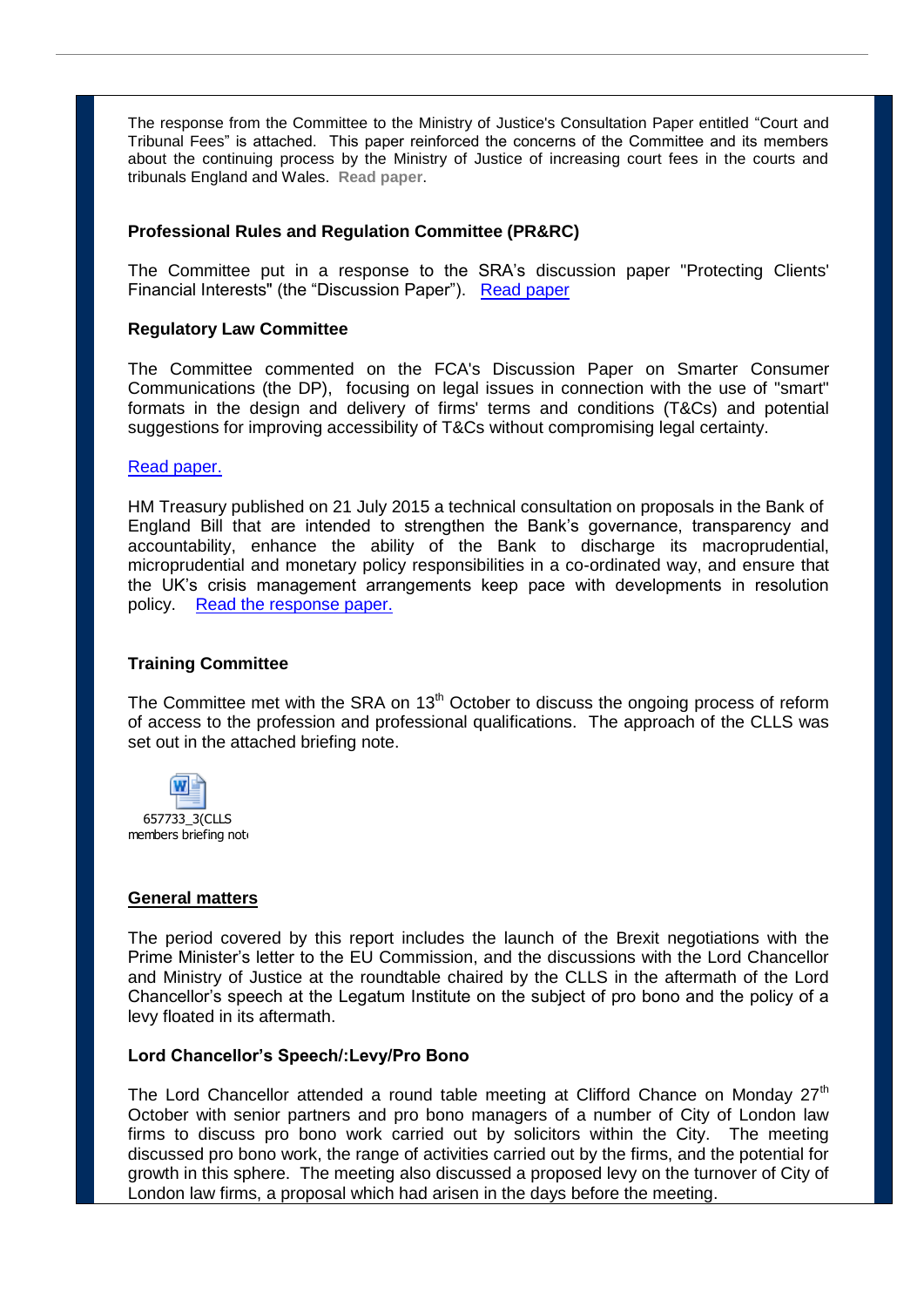The response from the Committee to the Ministry of Justice's Consultation Paper entitled "Court and Tribunal Fees" is attached. This paper reinforced the concerns of the Committee and its members about the continuing process by the Ministry of Justice of increasing court fees in the courts and tribunals England and Wales. **[Read paper](http://www.citysolicitors.org.uk/attachments/article/112/CLLS%20response%20to%20MoJ%20consultation%20paper%20on%20court%20and%20tribunal%20fees.pdf)**.

# **Professional Rules and Regulation Committee (PR&RC)**

The Committee put in a response to the SRA's discussion paper "Protecting Clients' Financial Interests" (the "Discussion Paper"). [Read paper](http://www.citysolicitors.org.uk/attachments/article/108/CLLS%20Consultation%20Response%20-%20Professional%20Rules%20and%20Regulation%20Committee%20-Protecting%20Clients%20Financial%20Interests%20%20-%2014%2009%2015.pdf)

# **Regulatory Law Committee**

The Committee commented on the FCA's Discussion Paper on Smarter Consumer Communications (the DP), focusing on legal issues in connection with the use of "smart" formats in the design and delivery of firms' terms and conditions (T&Cs) and potential suggestions for improving accessibility of T&Cs without compromising legal certainty.

### [Read paper.](http://www.citysolicitors.org.uk/attachments/category/152/CLLS%20Response%20to%20FCA%20Discussion%20Paper%20on%20Smarter%20Consumer%20Communications%20-%2025%20September%202015.pdf)

HM Treasury published on 21 July 2015 a technical consultation on proposals in the Bank of England Bill that are intended to strengthen the Bank's governance, transparency and accountability, enhance the ability of the Bank to discharge its macroprudential, microprudential and monetary policy responsibilities in a co-ordinated way, and ensure that the UK's crisis management arrangements keep pace with developments in resolution policy. [Read the response paper.](http://www.citysolicitors.org.uk/attachments/category/152/CLLS%20Response%20to%20HM%20Treasury%20technical%20consultation%20on%20Bank%20of%20England%20Bill%20-%2025%20September%202015.pdf)

# **Training Committee**

The Committee met with the SRA on  $13<sup>th</sup>$  October to discuss the ongoing process of reform of access to the profession and professional qualifications. The approach of the CLLS was set out in the attached briefing note.



# **General matters**

The period covered by this report includes the launch of the Brexit negotiations with the Prime Minister's letter to the EU Commission, and the discussions with the Lord Chancellor and Ministry of Justice at the roundtable chaired by the CLLS in the aftermath of the Lord Chancellor's speech at the Legatum Institute on the subject of pro bono and the policy of a levy floated in its aftermath.

#### **Lord Chancellor's Speech/:Levy/Pro Bono**

The Lord Chancellor attended a round table meeting at Clifford Chance on Monday  $27<sup>th</sup>$ October with senior partners and pro bono managers of a number of City of London law firms to discuss pro bono work carried out by solicitors within the City. The meeting discussed pro bono work, the range of activities carried out by the firms, and the potential for growth in this sphere. The meeting also discussed a proposed levy on the turnover of City of London law firms, a proposal which had arisen in the days before the meeting.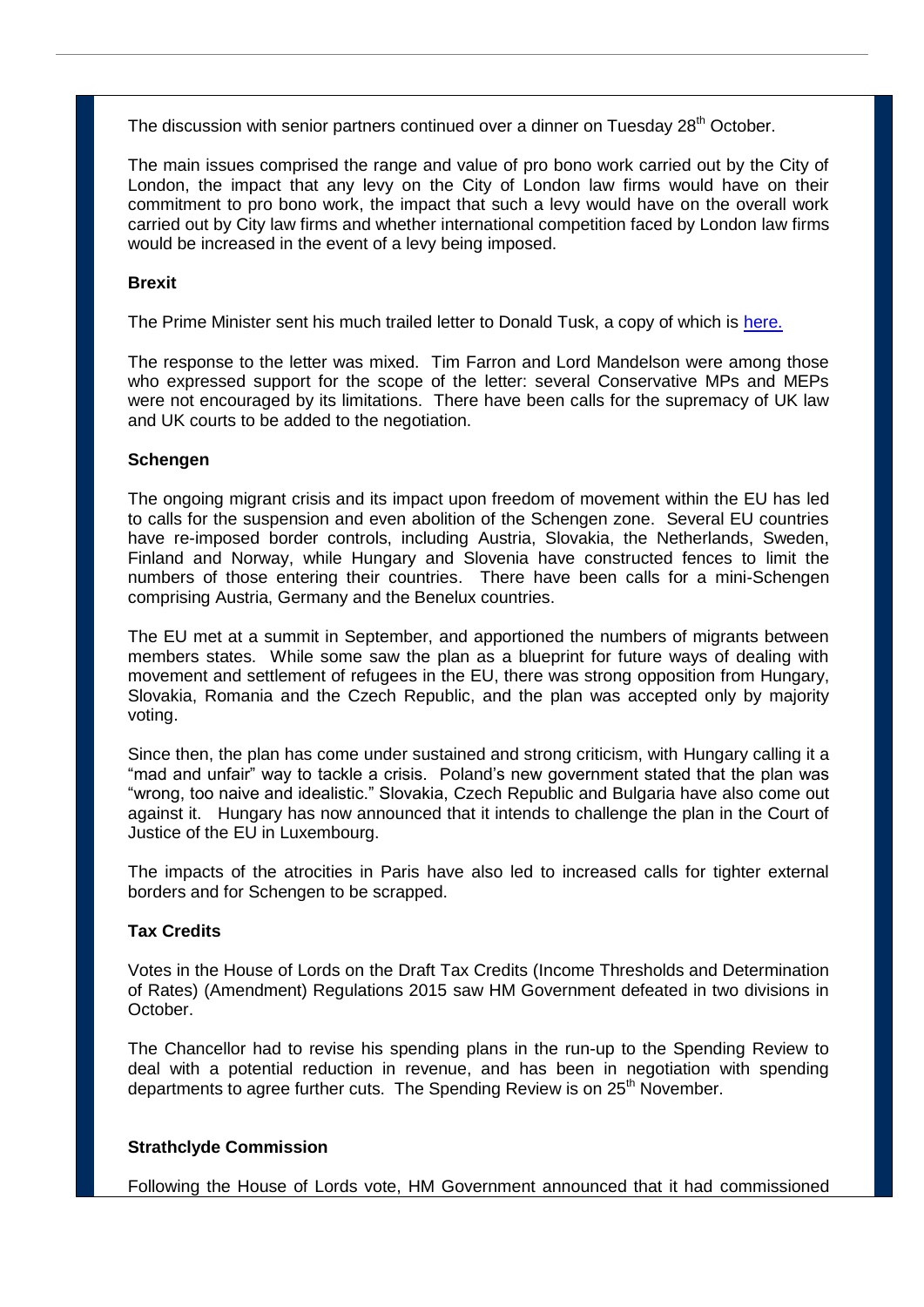The discussion with senior partners continued over a dinner on Tuesday 28<sup>th</sup> October.

The main issues comprised the range and value of pro bono work carried out by the City of London, the impact that any levy on the City of London law firms would have on their commitment to pro bono work, the impact that such a levy would have on the overall work carried out by City law firms and whether international competition faced by London law firms would be increased in the event of a levy being imposed.

# **Brexit**

The Prime Minister sent his much trailed letter to Donald Tusk, a copy of which is [here.](https://www.gov.uk/government/uploads/system/uploads/attachment_data/file/475679/Donald_Tusk_letter.pdf)

The response to the letter was mixed. Tim Farron and Lord Mandelson were among those who expressed support for the scope of the letter: several Conservative MPs and MEPs were not encouraged by its limitations. There have been calls for the supremacy of UK law and UK courts to be added to the negotiation.

# **Schengen**

The ongoing migrant crisis and its impact upon freedom of movement within the EU has led to calls for the suspension and even abolition of the Schengen zone. Several EU countries have re-imposed border controls, including Austria, Slovakia, the Netherlands, Sweden, Finland and Norway, while Hungary and Slovenia have constructed fences to limit the numbers of those entering their countries. There have been calls for a mini-Schengen comprising Austria, Germany and the Benelux countries.

The EU met at a summit in September, and apportioned the numbers of migrants between members states. While some saw the plan as a blueprint for future ways of dealing with movement and settlement of refugees in the EU, there was strong opposition from Hungary, Slovakia, Romania and the Czech Republic, and the plan was accepted only by majority voting.

Since then, the plan has come under sustained and strong criticism, with Hungary calling it a "mad and unfair" way to tackle a crisis. Poland's new government stated that the plan was "wrong, too naive and idealistic." Slovakia, Czech Republic and Bulgaria have also come out against it. Hungary has now announced that it intends to challenge the plan in the Court of Justice of the EU in Luxembourg.

The impacts of the atrocities in Paris have also led to increased calls for tighter external borders and for Schengen to be scrapped.

# **Tax Credits**

Votes in the House of Lords on the Draft Tax Credits (Income Thresholds and Determination of Rates) (Amendment) Regulations 2015 saw HM Government defeated in two divisions in October.

The Chancellor had to revise his spending plans in the run-up to the Spending Review to deal with a potential reduction in revenue, and has been in negotiation with spending departments to agree further cuts. The Spending Review is on  $25<sup>th</sup>$  November.

# **Strathclyde Commission**

Following the House of Lords vote, HM Government announced that it had commissioned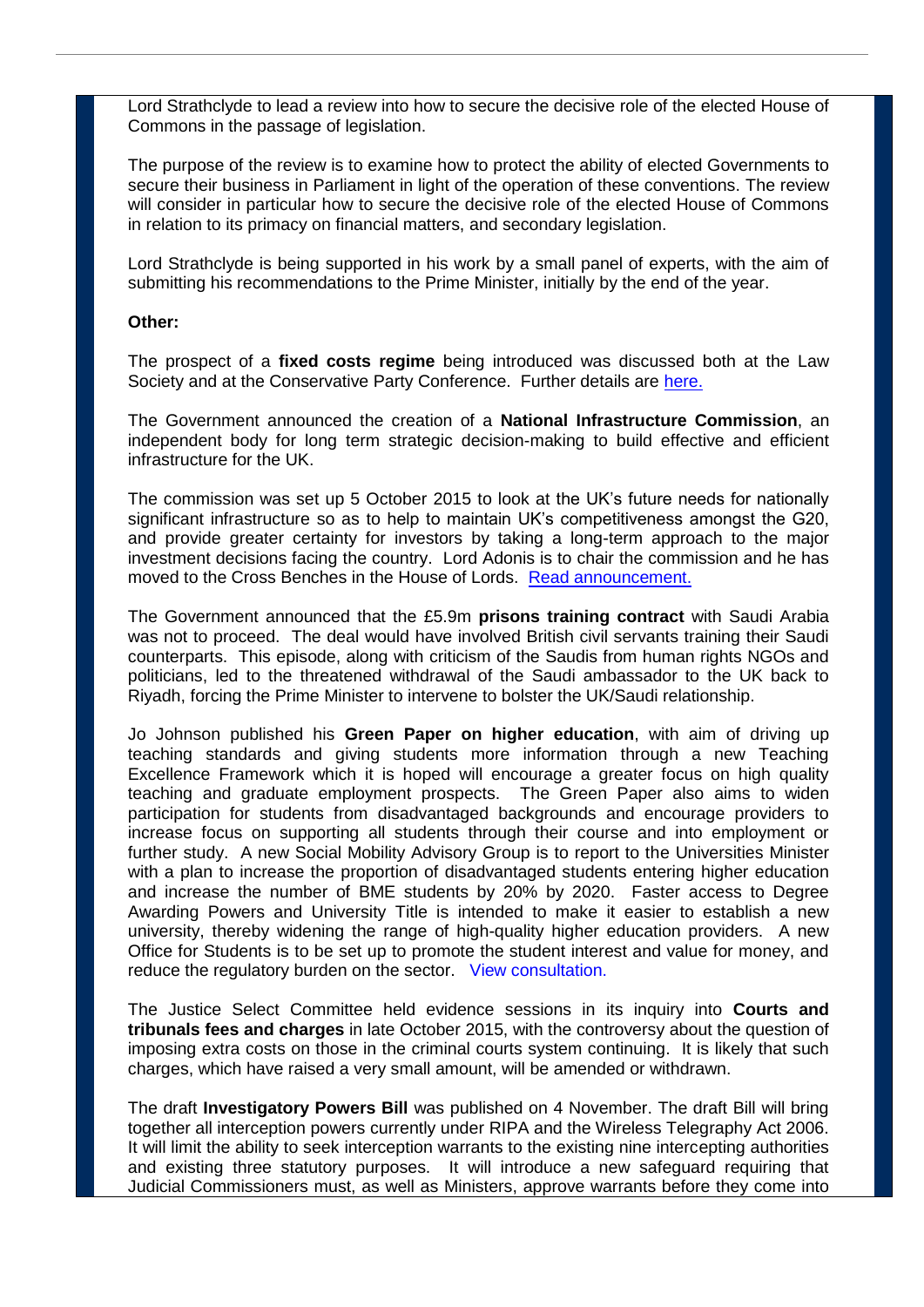Lord Strathclyde to lead a review into how to secure the decisive role of the elected House of Commons in the passage of legislation.

The purpose of the review is to examine how to protect the ability of elected Governments to secure their business in Parliament in light of the operation of these conventions. The review will consider in particular how to secure the decisive role of the elected House of Commons in relation to its primacy on financial matters, and secondary legislation.

Lord Strathclyde is being supported in his work by a small panel of experts, with the aim of submitting his recommendations to the Prime Minister, initially by the end of the year.

### **Other:**

The prospect of a **fixed costs regime** being introduced was discussed both at the Law Society and at the Conservative Party Conference. Further details are [here.](http://www.lawgazette.co.uk/news/fixed-costs-looming-in-commercial-litigation/5051520.article)

The Government announced the creation of a **National Infrastructure Commission**, an independent body for long term strategic decision-making to build effective and efficient infrastructure for the UK.

The commission was set up 5 October 2015 to look at the UK's future needs for nationally significant infrastructure so as to help to maintain UK's competitiveness amongst the G20, and provide greater certainty for investors by taking a long-term approach to the major investment decisions facing the country. Lord Adonis is to chair the commission and he has moved to the Cross Benches in the House of Lords. [Read announcement.](https://www.gov.uk/government/news/chancellor-announces-major-plan-to-get-britain-building)

The Government announced that the £5.9m **prisons training contract** with Saudi Arabia was not to proceed. The deal would have involved British civil servants training their Saudi counterparts. This episode, along with criticism of the Saudis from human rights NGOs and politicians, led to the threatened withdrawal of the Saudi ambassador to the UK back to Riyadh, forcing the Prime Minister to intervene to bolster the UK/Saudi relationship.

Jo Johnson published his **Green Paper on higher education**, with aim of driving up teaching standards and giving students more information through a new Teaching Excellence Framework which it is hoped will encourage a greater focus on high quality teaching and graduate employment prospects. The Green Paper also aims to widen participation for students from disadvantaged backgrounds and encourage providers to increase focus on supporting all students through their course and into employment or further study. A new Social Mobility Advisory Group is to report to the Universities Minister with a plan to increase the proportion of disadvantaged students entering higher education and increase the number of BME students by 20% by 2020. Faster access to Degree Awarding Powers and University Title is intended to make it easier to establish a new university, thereby widening the range of high-quality higher education providers. A new Office for Students is to be set up to promote the student interest and value for money, and reduce the regulatory burden on the sector. [View consultation.](https://www.gov.uk/government/consultations/higher-education-teaching-excellence-social-mobility-and-student-choice)

The Justice Select Committee held evidence sessions in its inquiry into **Courts and tribunals fees and charges** in late October 2015, with the controversy about the question of imposing extra costs on those in the criminal courts system continuing. It is likely that such charges, which have raised a very small amount, will be amended or withdrawn.

The draft **Investigatory Powers Bill** was published on 4 November. The draft Bill will bring together all interception powers currently under RIPA and the Wireless Telegraphy Act 2006. It will limit the ability to seek interception warrants to the existing nine intercepting authorities and existing three statutory purposes. It will introduce a new safeguard requiring that Judicial Commissioners must, as well as Ministers, approve warrants before they come into